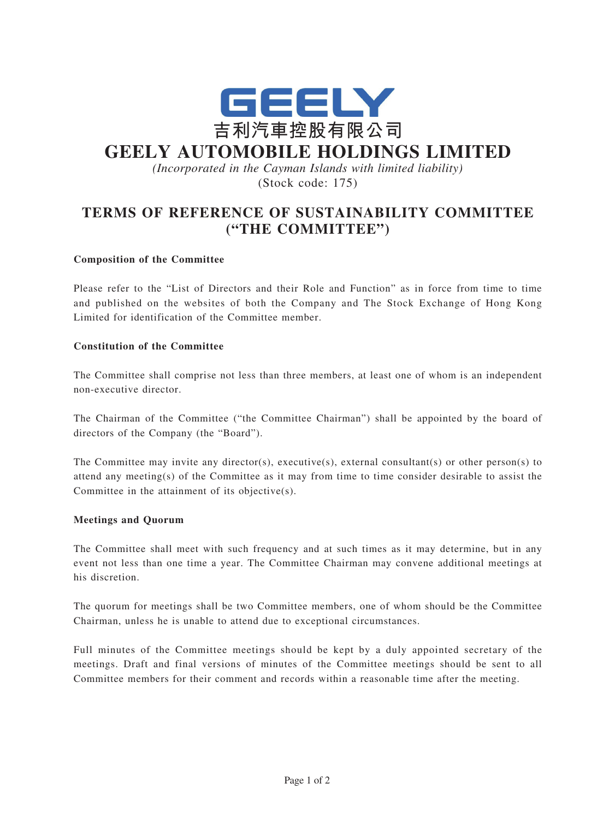

# **GEELY AUTOMOBILE HOLDINGS LIMITED**

*(Incorporated in the Cayman Islands with limited liability)* (Stock code: 175)

## **TERMS OF REFERENCE OF SUSTAINABILITY COMMITTEE ("THE COMMITTEE")**

### **Composition of the Committee**

Please refer to the "List of Directors and their Role and Function" as in force from time to time and published on the websites of both the Company and The Stock Exchange of Hong Kong Limited for identification of the Committee member.

#### **Constitution of the Committee**

The Committee shall comprise not less than three members, at least one of whom is an independent non-executive director.

The Chairman of the Committee ("the Committee Chairman") shall be appointed by the board of directors of the Company (the "Board").

The Committee may invite any director(s), executive(s), external consultant(s) or other person(s) to attend any meeting(s) of the Committee as it may from time to time consider desirable to assist the Committee in the attainment of its objective(s).

#### **Meetings and Quorum**

The Committee shall meet with such frequency and at such times as it may determine, but in any event not less than one time a year. The Committee Chairman may convene additional meetings at his discretion.

The quorum for meetings shall be two Committee members, one of whom should be the Committee Chairman, unless he is unable to attend due to exceptional circumstances.

Full minutes of the Committee meetings should be kept by a duly appointed secretary of the meetings. Draft and final versions of minutes of the Committee meetings should be sent to all Committee members for their comment and records within a reasonable time after the meeting.